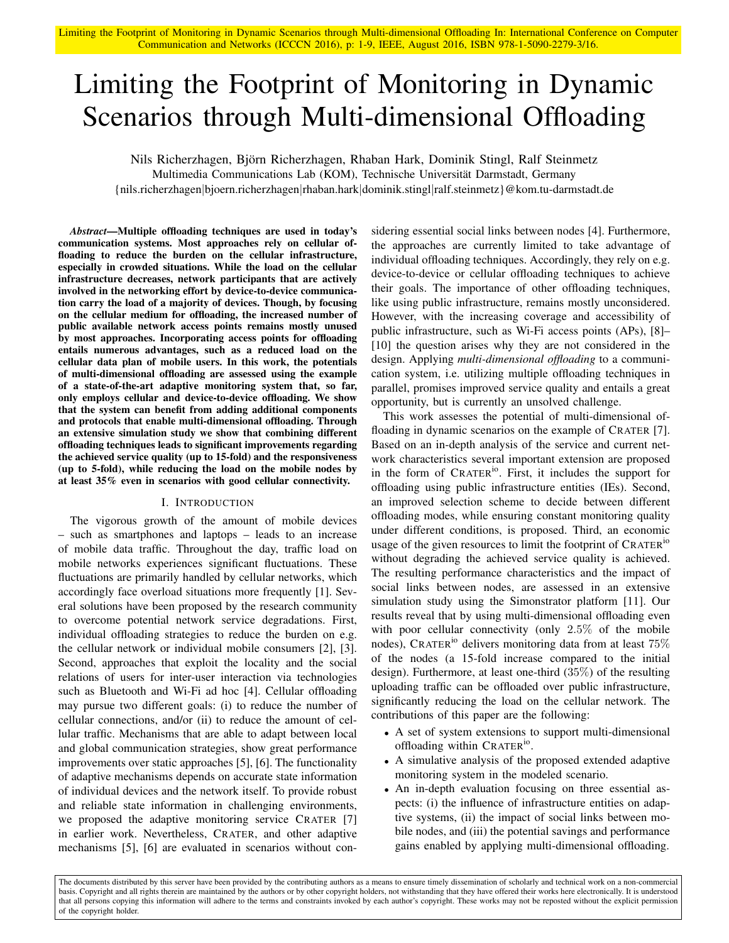# Limiting the Footprint of Monitoring in Dynamic Scenarios through Multi-dimensional Offloading

Nils Richerzhagen, Björn Richerzhagen, Rhaban Hark, Dominik Stingl, Ralf Steinmetz Multimedia Communications Lab (KOM), Technische Universität Darmstadt, Germany {nils.richerzhagen|bjoern.richerzhagen|rhaban.hark|dominik.stingl|ralf.steinmetz}@kom.tu-darmstadt.de

*Abstract*—Multiple offloading techniques are used in today's communication systems. Most approaches rely on cellular offloading to reduce the burden on the cellular infrastructure, especially in crowded situations. While the load on the cellular infrastructure decreases, network participants that are actively involved in the networking effort by device-to-device communication carry the load of a majority of devices. Though, by focusing on the cellular medium for offloading, the increased number of public available network access points remains mostly unused by most approaches. Incorporating access points for offloading entails numerous advantages, such as a reduced load on the cellular data plan of mobile users. In this work, the potentials of multi-dimensional offloading are assessed using the example of a state-of-the-art adaptive monitoring system that, so far, only employs cellular and device-to-device offloading. We show that the system can benefit from adding additional components and protocols that enable multi-dimensional offloading. Through an extensive simulation study we show that combining different offloading techniques leads to significant improvements regarding the achieved service quality (up to 15-fold) and the responsiveness (up to 5-fold), while reducing the load on the mobile nodes by at least 35% even in scenarios with good cellular connectivity.

## I. INTRODUCTION

The vigorous growth of the amount of mobile devices – such as smartphones and laptops – leads to an increase of mobile data traffic. Throughout the day, traffic load on mobile networks experiences significant fluctuations. These fluctuations are primarily handled by cellular networks, which accordingly face overload situations more frequently [1]. Several solutions have been proposed by the research community to overcome potential network service degradations. First, individual offloading strategies to reduce the burden on e.g. the cellular network or individual mobile consumers [2], [3]. Second, approaches that exploit the locality and the social relations of users for inter-user interaction via technologies such as Bluetooth and Wi-Fi ad hoc [4]. Cellular offloading may pursue two different goals: (i) to reduce the number of cellular connections, and/or (ii) to reduce the amount of cellular traffic. Mechanisms that are able to adapt between local and global communication strategies, show great performance improvements over static approaches [5], [6]. The functionality of adaptive mechanisms depends on accurate state information of individual devices and the network itself. To provide robust and reliable state information in challenging environments, we proposed the adaptive monitoring service CRATER [7] in earlier work. Nevertheless, CRATER, and other adaptive mechanisms [5], [6] are evaluated in scenarios without considering essential social links between nodes [4]. Furthermore, the approaches are currently limited to take advantage of individual offloading techniques. Accordingly, they rely on e.g. device-to-device or cellular offloading techniques to achieve their goals. The importance of other offloading techniques, like using public infrastructure, remains mostly unconsidered. However, with the increasing coverage and accessibility of public infrastructure, such as Wi-Fi access points (APs), [8]– [10] the question arises why they are not considered in the design. Applying *multi-dimensional offloading* to a communication system, i.e. utilizing multiple offloading techniques in parallel, promises improved service quality and entails a great opportunity, but is currently an unsolved challenge.

This work assesses the potential of multi-dimensional offloading in dynamic scenarios on the example of CRATER [7]. Based on an in-depth analysis of the service and current network characteristics several important extension are proposed in the form of  $C\text{RATER}^{10}$ . First, it includes the support for offloading using public infrastructure entities (IEs). Second, an improved selection scheme to decide between different offloading modes, while ensuring constant monitoring quality under different conditions, is proposed. Third, an economic usage of the given resources to limit the footprint of CRATER<sup>10</sup> without degrading the achieved service quality is achieved. The resulting performance characteristics and the impact of social links between nodes, are assessed in an extensive simulation study using the Simonstrator platform [11]. Our results reveal that by using multi-dimensional offloading even with poor cellular connectivity (only 2.5% of the mobile nodes), CRATER<sup>10</sup> delivers monitoring data from at least  $75\%$ of the nodes (a 15-fold increase compared to the initial design). Furthermore, at least one-third (35%) of the resulting uploading traffic can be offloaded over public infrastructure, significantly reducing the load on the cellular network. The contributions of this paper are the following:

- A set of system extensions to support multi-dimensional offloading within CRATER<sup>io</sup>.
- A simulative analysis of the proposed extended adaptive monitoring system in the modeled scenario.
- An in-depth evaluation focusing on three essential aspects: (i) the influence of infrastructure entities on adaptive systems, (ii) the impact of social links between mobile nodes, and (iii) the potential savings and performance gains enabled by applying multi-dimensional offloading.

The documents distributed by this server have been provided by the contributing authors as a means to ensure timely dissemination of scholarly and technical work on a non-commercial basis. Copyright and all rights therein are maintained by the authors or by other copyright holders, not withstanding that they have offered their works here electronically. It is understood that all persons copying this information will adhere to the terms and constraints invoked by each author's copyright. These works may not be reposted without the explicit permission of the copyright holder.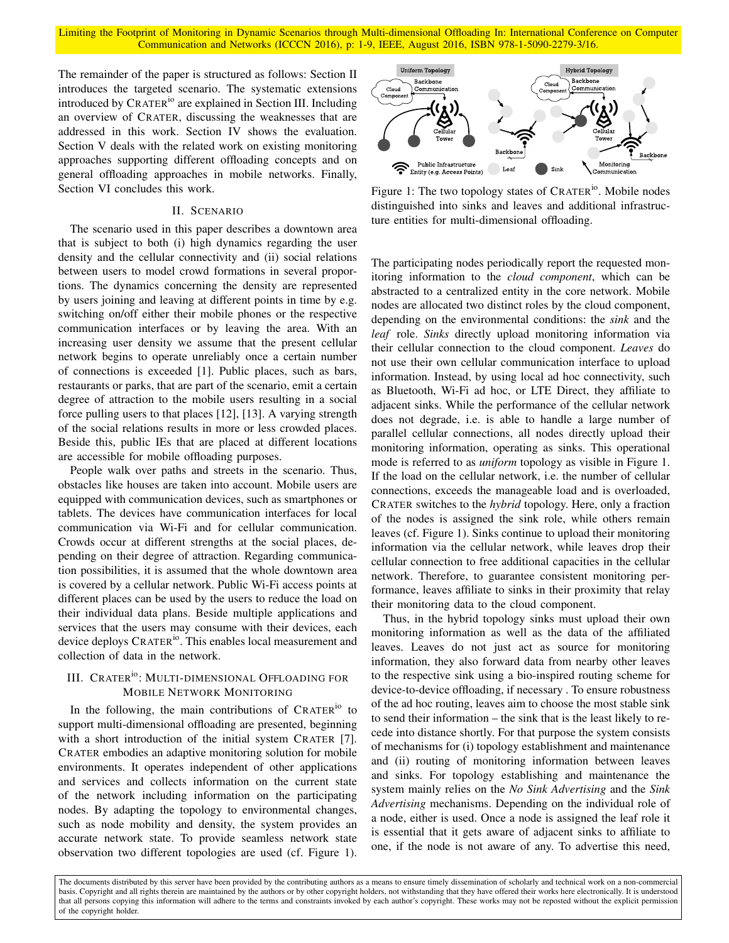The remainder of the paper is structured as follows: Section II introduces the targeted scenario. The systematic extensions introduced by CRATER<sup>10</sup> are explained in Section III. Including an overview of CRATER, discussing the weaknesses that are addressed in this work. Section IV shows the evaluation. Section V deals with the related work on existing monitoring approaches supporting different offloading concepts and on general offloading approaches in mobile networks. Finally, Section VI concludes this work.

## II. SCENARIO

The scenario used in this paper describes a downtown area that is subject to both (i) high dynamics regarding the user density and the cellular connectivity and (ii) social relations between users to model crowd formations in several proportions. The dynamics concerning the density are represented by users joining and leaving at different points in time by e.g. switching on/off either their mobile phones or the respective communication interfaces or by leaving the area. With an increasing user density we assume that the present cellular network begins to operate unreliably once a certain number of connections is exceeded [1]. Public places, such as bars, restaurants or parks, that are part of the scenario, emit a certain degree of attraction to the mobile users resulting in a social force pulling users to that places [12], [13]. A varying strength of the social relations results in more or less crowded places. Beside this, public IEs that are placed at different locations are accessible for mobile offloading purposes.

People walk over paths and streets in the scenario. Thus, obstacles like houses are taken into account. Mobile users are equipped with communication devices, such as smartphones or tablets. The devices have communication interfaces for local communication via Wi-Fi and for cellular communication. Crowds occur at different strengths at the social places, depending on their degree of attraction. Regarding communication possibilities, it is assumed that the whole downtown area is covered by a cellular network. Public Wi-Fi access points at different places can be used by the users to reduce the load on their individual data plans. Beside multiple applications and services that the users may consume with their devices, each device deploys CRATER<sup>io</sup>. This enables local measurement and collection of data in the network.

## III. CRATER<sup>io</sup>: MULTI-DIMENSIONAL OFFLOADING FOR MOBILE NETWORK MONITORING

In the following, the main contributions of  $C_{\rm RATER}^{10}$  to support multi-dimensional offloading are presented, beginning with a short introduction of the initial system CRATER [7]. CRATER embodies an adaptive monitoring solution for mobile environments. It operates independent of other applications and services and collects information on the current state of the network including information on the participating nodes. By adapting the topology to environmental changes, such as node mobility and density, the system provides an accurate network state. To provide seamless network state observation two different topologies are used (cf. Figure 1).



Figure 1: The two topology states of CRATER<sup>io</sup>. Mobile nodes distinguished into sinks and leaves and additional infrastructure entities for multi-dimensional offloading.

The participating nodes periodically report the requested monitoring information to the *cloud component*, which can be abstracted to a centralized entity in the core network. Mobile nodes are allocated two distinct roles by the cloud component, depending on the environmental conditions: the *sink* and the *leaf* role. *Sinks* directly upload monitoring information via their cellular connection to the cloud component. *Leaves* do not use their own cellular communication interface to upload information. Instead, by using local ad hoc connectivity, such as Bluetooth, Wi-Fi ad hoc, or LTE Direct, they affiliate to adjacent sinks. While the performance of the cellular network does not degrade, i.e. is able to handle a large number of parallel cellular connections, all nodes directly upload their monitoring information, operating as sinks. This operational mode is referred to as *uniform* topology as visible in Figure 1. If the load on the cellular network, i.e. the number of cellular connections, exceeds the manageable load and is overloaded, CRATER switches to the *hybrid* topology. Here, only a fraction of the nodes is assigned the sink role, while others remain leaves (cf. Figure 1). Sinks continue to upload their monitoring information via the cellular network, while leaves drop their cellular connection to free additional capacities in the cellular network. Therefore, to guarantee consistent monitoring performance, leaves affiliate to sinks in their proximity that relay their monitoring data to the cloud component.

Thus, in the hybrid topology sinks must upload their own monitoring information as well as the data of the affiliated leaves. Leaves do not just act as source for monitoring information, they also forward data from nearby other leaves to the respective sink using a bio-inspired routing scheme for device-to-device offloading, if necessary . To ensure robustness of the ad hoc routing, leaves aim to choose the most stable sink to send their information – the sink that is the least likely to recede into distance shortly. For that purpose the system consists of mechanisms for (i) topology establishment and maintenance and (ii) routing of monitoring information between leaves and sinks. For topology establishing and maintenance the system mainly relies on the *No Sink Advertising* and the *Sink Advertising* mechanisms. Depending on the individual role of a node, either is used. Once a node is assigned the leaf role it is essential that it gets aware of adjacent sinks to affiliate to one, if the node is not aware of any. To advertise this need,

The documents distributed by this server have been provided by the contributing authors as a means to ensure timely dissemination of scholarly and technical work on a non-commercial basis. Copyright and all rights therein are maintained by the authors or by other copyright holders, not withstanding that they have offered their works here electronically. It is understood that all persons copying this information will adhere to the terms and constraints invoked by each author's copyright. These works may not be reposted without the explicit permission of the copyright holder.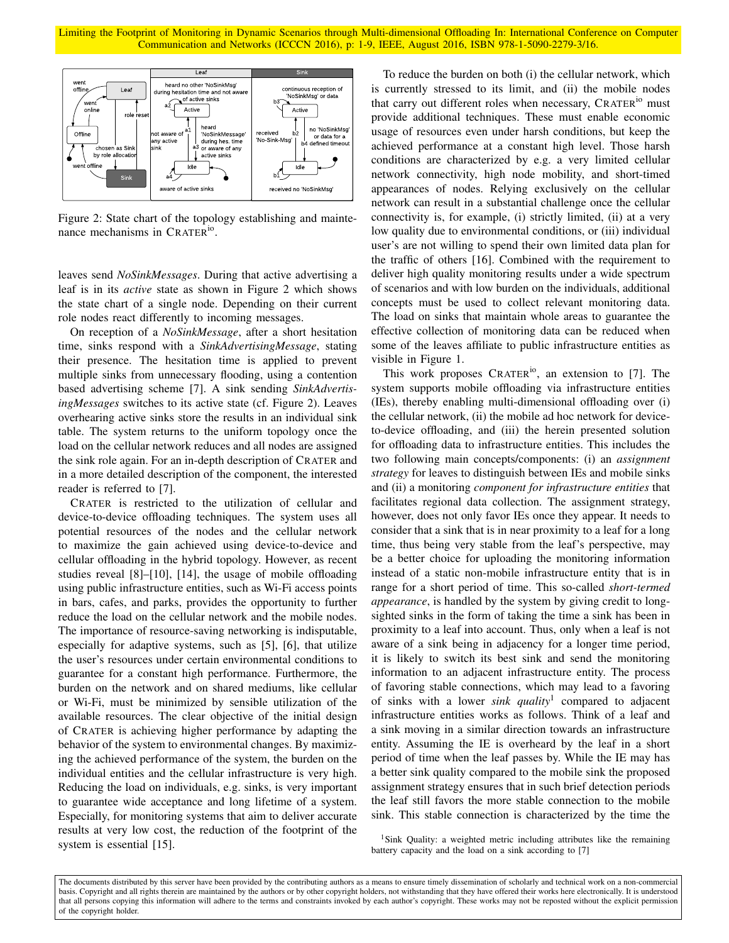

Figure 2: State chart of the topology establishing and maintenance mechanisms in CRATER<sup>io</sup>.

leaves send *NoSinkMessages*. During that active advertising a leaf is in its *active* state as shown in Figure 2 which shows the state chart of a single node. Depending on their current role nodes react differently to incoming messages.

On reception of a *NoSinkMessage*, after a short hesitation time, sinks respond with a *SinkAdvertisingMessage*, stating their presence. The hesitation time is applied to prevent multiple sinks from unnecessary flooding, using a contention based advertising scheme [7]. A sink sending *SinkAdvertisingMessages* switches to its active state (cf. Figure 2). Leaves overhearing active sinks store the results in an individual sink table. The system returns to the uniform topology once the load on the cellular network reduces and all nodes are assigned the sink role again. For an in-depth description of CRATER and in a more detailed description of the component, the interested reader is referred to [7].

CRATER is restricted to the utilization of cellular and device-to-device offloading techniques. The system uses all potential resources of the nodes and the cellular network to maximize the gain achieved using device-to-device and cellular offloading in the hybrid topology. However, as recent studies reveal [8]–[10], [14], the usage of mobile offloading using public infrastructure entities, such as Wi-Fi access points in bars, cafes, and parks, provides the opportunity to further reduce the load on the cellular network and the mobile nodes. The importance of resource-saving networking is indisputable, especially for adaptive systems, such as [5], [6], that utilize the user's resources under certain environmental conditions to guarantee for a constant high performance. Furthermore, the burden on the network and on shared mediums, like cellular or Wi-Fi, must be minimized by sensible utilization of the available resources. The clear objective of the initial design of CRATER is achieving higher performance by adapting the behavior of the system to environmental changes. By maximizing the achieved performance of the system, the burden on the individual entities and the cellular infrastructure is very high. Reducing the load on individuals, e.g. sinks, is very important to guarantee wide acceptance and long lifetime of a system. Especially, for monitoring systems that aim to deliver accurate results at very low cost, the reduction of the footprint of the system is essential [15].

To reduce the burden on both (i) the cellular network, which is currently stressed to its limit, and (ii) the mobile nodes that carry out different roles when necessary, CRATER<sup>10</sup> must provide additional techniques. These must enable economic usage of resources even under harsh conditions, but keep the achieved performance at a constant high level. Those harsh conditions are characterized by e.g. a very limited cellular network connectivity, high node mobility, and short-timed appearances of nodes. Relying exclusively on the cellular network can result in a substantial challenge once the cellular connectivity is, for example, (i) strictly limited, (ii) at a very low quality due to environmental conditions, or (iii) individual user's are not willing to spend their own limited data plan for the traffic of others [16]. Combined with the requirement to deliver high quality monitoring results under a wide spectrum of scenarios and with low burden on the individuals, additional concepts must be used to collect relevant monitoring data. The load on sinks that maintain whole areas to guarantee the effective collection of monitoring data can be reduced when some of the leaves affiliate to public infrastructure entities as visible in Figure 1.

This work proposes CRATER<sup>io</sup>, an extension to [7]. The system supports mobile offloading via infrastructure entities (IEs), thereby enabling multi-dimensional offloading over (i) the cellular network, (ii) the mobile ad hoc network for deviceto-device offloading, and (iii) the herein presented solution for offloading data to infrastructure entities. This includes the two following main concepts/components: (i) an *assignment strategy* for leaves to distinguish between IEs and mobile sinks and (ii) a monitoring *component for infrastructure entities* that facilitates regional data collection. The assignment strategy, however, does not only favor IEs once they appear. It needs to consider that a sink that is in near proximity to a leaf for a long time, thus being very stable from the leaf's perspective, may be a better choice for uploading the monitoring information instead of a static non-mobile infrastructure entity that is in range for a short period of time. This so-called *short-termed appearance*, is handled by the system by giving credit to longsighted sinks in the form of taking the time a sink has been in proximity to a leaf into account. Thus, only when a leaf is not aware of a sink being in adjacency for a longer time period, it is likely to switch its best sink and send the monitoring information to an adjacent infrastructure entity. The process of favoring stable connections, which may lead to a favoring of sinks with a lower *sink quality*<sup>1</sup> compared to adjacent infrastructure entities works as follows. Think of a leaf and a sink moving in a similar direction towards an infrastructure entity. Assuming the IE is overheard by the leaf in a short period of time when the leaf passes by. While the IE may has a better sink quality compared to the mobile sink the proposed assignment strategy ensures that in such brief detection periods the leaf still favors the more stable connection to the mobile sink. This stable connection is characterized by the time the

<sup>1</sup>Sink Quality: a weighted metric including attributes like the remaining battery capacity and the load on a sink according to [7]

The documents distributed by this server have been provided by the contributing authors as a means to ensure timely dissemination of scholarly and technical work on a non-commercial basis. Copyright and all rights therein are maintained by the authors or by other copyright holders, not withstanding that they have offered their works here electronically. It is understood that all persons copying this information will adhere to the terms and constraints invoked by each author's copyright. These works may not be reposted without the explicit permission of the copyright holder.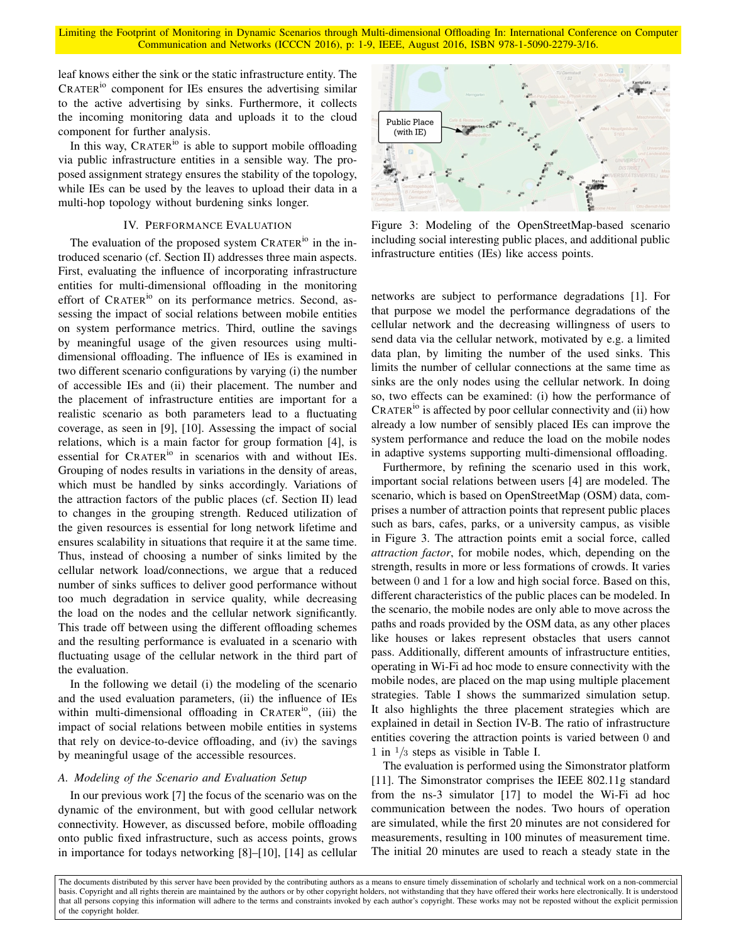leaf knows either the sink or the static infrastructure entity. The  $C\text{RATER}^{10}$  component for IEs ensures the advertising similar to the active advertising by sinks. Furthermore, it collects the incoming monitoring data and uploads it to the cloud component for further analysis.

In this way,  $C$ RATER<sup>io</sup> is able to support mobile offloading via public infrastructure entities in a sensible way. The proposed assignment strategy ensures the stability of the topology, while IEs can be used by the leaves to upload their data in a multi-hop topology without burdening sinks longer.

## IV. PERFORMANCE EVALUATION

The evaluation of the proposed system CRATER<sup>io</sup> in the introduced scenario (cf. Section II) addresses three main aspects. First, evaluating the influence of incorporating infrastructure entities for multi-dimensional offloading in the monitoring effort of CRATER<sup>10</sup> on its performance metrics. Second, assessing the impact of social relations between mobile entities on system performance metrics. Third, outline the savings by meaningful usage of the given resources using multidimensional offloading. The influence of IEs is examined in two different scenario configurations by varying (i) the number of accessible IEs and (ii) their placement. The number and the placement of infrastructure entities are important for a realistic scenario as both parameters lead to a fluctuating coverage, as seen in [9], [10]. Assessing the impact of social relations, which is a main factor for group formation [4], is essential for CRATER<sup>io</sup> in scenarios with and without IEs. Grouping of nodes results in variations in the density of areas, which must be handled by sinks accordingly. Variations of the attraction factors of the public places (cf. Section II) lead to changes in the grouping strength. Reduced utilization of the given resources is essential for long network lifetime and ensures scalability in situations that require it at the same time. Thus, instead of choosing a number of sinks limited by the cellular network load/connections, we argue that a reduced number of sinks suffices to deliver good performance without too much degradation in service quality, while decreasing the load on the nodes and the cellular network significantly. This trade off between using the different offloading schemes and the resulting performance is evaluated in a scenario with fluctuating usage of the cellular network in the third part of the evaluation.

In the following we detail (i) the modeling of the scenario and the used evaluation parameters, (ii) the influence of IEs within multi-dimensional offloading in  $C\text{RATER}^{i\circ}$ , (iii) the impact of social relations between mobile entities in systems that rely on device-to-device offloading, and (iv) the savings by meaningful usage of the accessible resources.

## *A. Modeling of the Scenario and Evaluation Setup*

In our previous work [7] the focus of the scenario was on the dynamic of the environment, but with good cellular network connectivity. However, as discussed before, mobile offloading onto public fixed infrastructure, such as access points, grows in importance for todays networking [8]–[10], [14] as cellular



Figure 3: Modeling of the OpenStreetMap-based scenario including social interesting public places, and additional public infrastructure entities (IEs) like access points.

networks are subject to performance degradations [1]. For that purpose we model the performance degradations of the cellular network and the decreasing willingness of users to send data via the cellular network, motivated by e.g. a limited data plan, by limiting the number of the used sinks. This limits the number of cellular connections at the same time as sinks are the only nodes using the cellular network. In doing so, two effects can be examined: (i) how the performance of CRATER<sup>io</sup> is affected by poor cellular connectivity and (ii) how already a low number of sensibly placed IEs can improve the system performance and reduce the load on the mobile nodes in adaptive systems supporting multi-dimensional offloading.

Furthermore, by refining the scenario used in this work, important social relations between users [4] are modeled. The scenario, which is based on OpenStreetMap (OSM) data, comprises a number of attraction points that represent public places such as bars, cafes, parks, or a university campus, as visible in Figure 3. The attraction points emit a social force, called *attraction factor*, for mobile nodes, which, depending on the strength, results in more or less formations of crowds. It varies between 0 and 1 for a low and high social force. Based on this, different characteristics of the public places can be modeled. In the scenario, the mobile nodes are only able to move across the paths and roads provided by the OSM data, as any other places like houses or lakes represent obstacles that users cannot pass. Additionally, different amounts of infrastructure entities, operating in Wi-Fi ad hoc mode to ensure connectivity with the mobile nodes, are placed on the map using multiple placement strategies. Table I shows the summarized simulation setup. It also highlights the three placement strategies which are explained in detail in Section IV-B. The ratio of infrastructure entities covering the attraction points is varied between 0 and 1 in  $\frac{1}{3}$  steps as visible in Table I.

The evaluation is performed using the Simonstrator platform [11]. The Simonstrator comprises the IEEE 802.11g standard from the ns-3 simulator [17] to model the Wi-Fi ad hoc communication between the nodes. Two hours of operation are simulated, while the first 20 minutes are not considered for measurements, resulting in 100 minutes of measurement time. The initial 20 minutes are used to reach a steady state in the

The documents distributed by this server have been provided by the contributing authors as a means to ensure timely dissemination of scholarly and technical work on a non-commercial basis. Copyright and all rights therein are maintained by the authors or by other copyright holders, not withstanding that they have offered their works here electronically. It is understood that all persons copying this information will adhere to the terms and constraints invoked by each author's copyright. These works may not be reposted without the explicit permission of the copyright holder.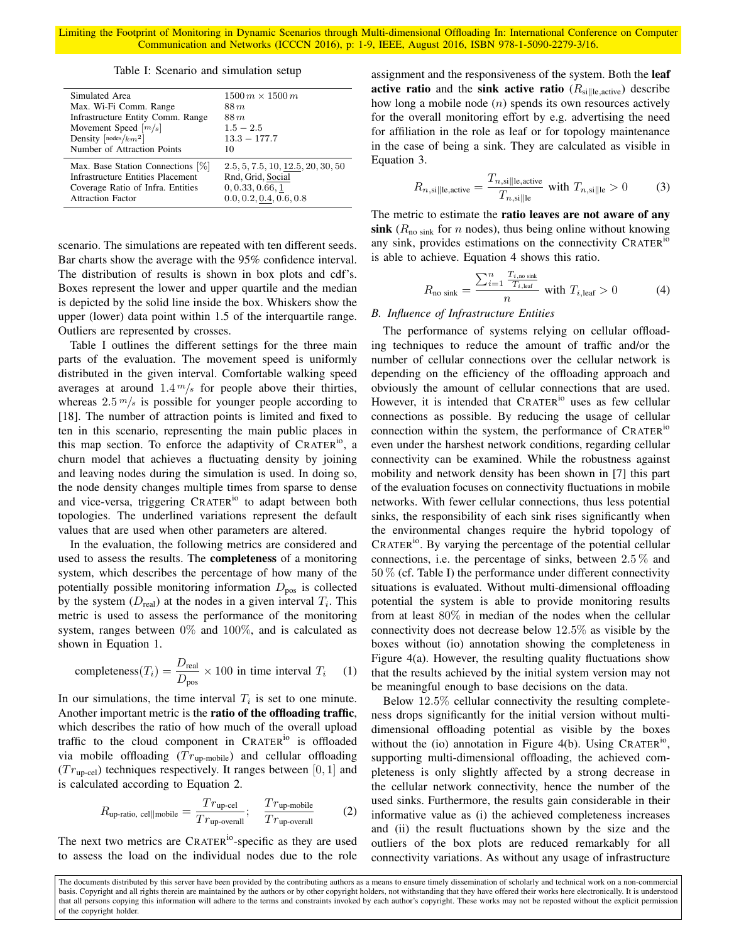| Table I: Scenario and simulation setup |  |
|----------------------------------------|--|
|----------------------------------------|--|

| Simulated Area                                    | $1500\,m \times 1500\,m$          |
|---------------------------------------------------|-----------------------------------|
| Max. Wi-Fi Comm. Range                            | 88 m                              |
| Infrastructure Entity Comm. Range                 | 88 m                              |
| Movement Speed $\lfloor m/s \rfloor$              | $1.5 - 2.5$                       |
| Density $\lceil n \cdot \text{odes}/k m^2 \rceil$ | $13.3 - 177.7$                    |
| Number of Attraction Points                       | 10                                |
| Max. Base Station Connections [%]                 | 2.5, 5, 7.5, 10, 12.5, 20, 30, 50 |
| Infrastructure Entities Placement                 | Rnd, Grid, Social                 |
| Coverage Ratio of Infra. Entities                 | 0, 0.33, 0.66, 1                  |
| <b>Attraction Factor</b>                          | 0.0, 0.2, 0.4, 0.6, 0.8           |

scenario. The simulations are repeated with ten different seeds. Bar charts show the average with the 95% confidence interval. The distribution of results is shown in box plots and cdf's. Boxes represent the lower and upper quartile and the median is depicted by the solid line inside the box. Whiskers show the upper (lower) data point within 1.5 of the interquartile range. Outliers are represented by crosses.

Table I outlines the different settings for the three main parts of the evaluation. The movement speed is uniformly distributed in the given interval. Comfortable walking speed averages at around  $1.4 \frac{m}{s}$  for people above their thirties, whereas  $2.5 \frac{m}{s}$  is possible for younger people according to [18]. The number of attraction points is limited and fixed to ten in this scenario, representing the main public places in this map section. To enforce the adaptivity of CRATER<sup>io</sup>, a churn model that achieves a fluctuating density by joining and leaving nodes during the simulation is used. In doing so, the node density changes multiple times from sparse to dense and vice-versa, triggering CRATER<sup>10</sup> to adapt between both topologies. The underlined variations represent the default values that are used when other parameters are altered.

In the evaluation, the following metrics are considered and used to assess the results. The completeness of a monitoring system, which describes the percentage of how many of the potentially possible monitoring information  $D_{\text{pos}}$  is collected by the system  $(D_{\text{real}})$  at the nodes in a given interval  $T_i$ . This metric is used to assess the performance of the monitoring system, ranges between 0% and 100%, and is calculated as shown in Equation 1.

completeness
$$
(T_i) = \frac{D_{\text{real}}}{D_{\text{pos}}} \times 100
$$
 in time interval  $T_i$  (1)

In our simulations, the time interval  $T_i$  is set to one minute. Another important metric is the ratio of the offloading traffic, which describes the ratio of how much of the overall upload traffic to the cloud component in CRATER<sup>io</sup> is offloaded via mobile offloading  $(Tr_{\text{up-mobile}})$  and cellular offloading  $(Tr_{\text{up-cel}})$  techniques respectively. It ranges between [0, 1] and is calculated according to Equation 2.

$$
R_{\text{up-ratio, cell}|\text{mobile}} = \frac{Tr_{\text{up-cel}}}{Tr_{\text{up-overall}}}; \quad \frac{Tr_{\text{up-mobile}}}{Tr_{\text{up-overall}}}
$$
(2)

The next two metrics are CRATER<sup>io</sup>-specific as they are used to assess the load on the individual nodes due to the role assignment and the responsiveness of the system. Both the leaf active ratio and the sink active ratio  $(R_{\text{sille.active}})$  describe how long a mobile node  $(n)$  spends its own resources actively for the overall monitoring effort by e.g. advertising the need for affiliation in the role as leaf or for topology maintenance in the case of being a sink. They are calculated as visible in Equation 3.

$$
R_{n,\text{sil}||\text{le},\text{active}} = \frac{T_{n,\text{sil}||\text{le},\text{active}}}{T_{n,\text{sil}||\text{le}}} \text{ with } T_{n,\text{sil}||\text{le}} > 0 \tag{3}
$$

The metric to estimate the ratio leaves are not aware of any sink ( $R_{\text{no sink}}$  for n nodes), thus being online without knowing any sink, provides estimations on the connectivity CRATER<sup>10</sup> is able to achieve. Equation 4 shows this ratio.

$$
R_{\text{no sink}} = \frac{\sum_{i=1}^{n} \frac{T_{i,\text{no sink}}}{T_{i,\text{leaf}}}}{n} \text{ with } T_{i,\text{leaf}} > 0 \tag{4}
$$

## *B. Influence of Infrastructure Entities*

The performance of systems relying on cellular offloading techniques to reduce the amount of traffic and/or the number of cellular connections over the cellular network is depending on the efficiency of the offloading approach and obviously the amount of cellular connections that are used. However, it is intended that CRATER<sup>io</sup> uses as few cellular connections as possible. By reducing the usage of cellular connection within the system, the performance of CRATER<sup>io</sup> even under the harshest network conditions, regarding cellular connectivity can be examined. While the robustness against mobility and network density has been shown in [7] this part of the evaluation focuses on connectivity fluctuations in mobile networks. With fewer cellular connections, thus less potential sinks, the responsibility of each sink rises significantly when the environmental changes require the hybrid topology of CRATER<sup>io</sup>. By varying the percentage of the potential cellular connections, i.e. the percentage of sinks, between 2.5 % and 50 % (cf. Table I) the performance under different connectivity situations is evaluated. Without multi-dimensional offloading potential the system is able to provide monitoring results from at least 80% in median of the nodes when the cellular connectivity does not decrease below 12.5% as visible by the boxes without (io) annotation showing the completeness in Figure 4(a). However, the resulting quality fluctuations show that the results achieved by the initial system version may not be meaningful enough to base decisions on the data.

Below 12.5% cellular connectivity the resulting completeness drops significantly for the initial version without multidimensional offloading potential as visible by the boxes without the (io) annotation in Figure 4(b). Using CRATER<sup>io</sup>, supporting multi-dimensional offloading, the achieved completeness is only slightly affected by a strong decrease in the cellular network connectivity, hence the number of the used sinks. Furthermore, the results gain considerable in their informative value as (i) the achieved completeness increases and (ii) the result fluctuations shown by the size and the outliers of the box plots are reduced remarkably for all connectivity variations. As without any usage of infrastructure

The documents distributed by this server have been provided by the contributing authors as a means to ensure timely dissemination of scholarly and technical work on a non-commercial basis. Copyright and all rights therein are maintained by the authors or by other copyright holders, not withstanding that they have offered their works here electronically. It is understood that all persons copying this information will adhere to the terms and constraints invoked by each author's copyright. These works may not be reposted without the explicit permission of the copyright holder.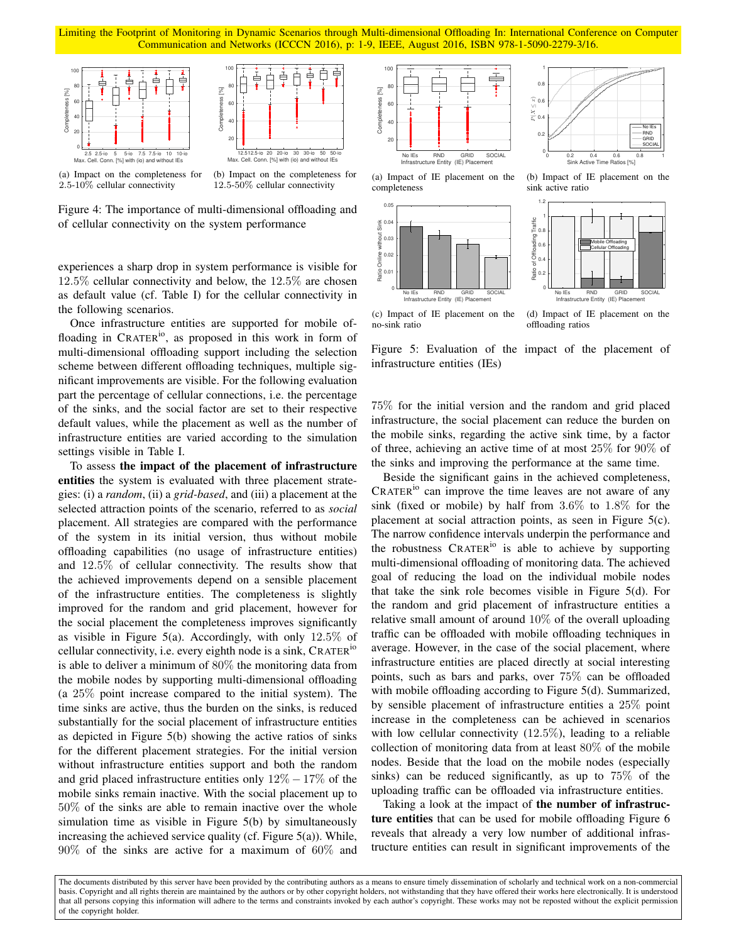



(a) Impact on the completeness for 2.5-10% cellular connectivity

(b) Impact on the completeness for 12.5-50% cellular connectivity

Figure 4: The importance of multi-dimensional offloading and of cellular connectivity on the system performance

experiences a sharp drop in system performance is visible for 12.5% cellular connectivity and below, the 12.5% are chosen as default value (cf. Table I) for the cellular connectivity in the following scenarios.

Once infrastructure entities are supported for mobile offloading in CRATER<sup>io</sup>, as proposed in this work in form of multi-dimensional offloading support including the selection scheme between different offloading techniques, multiple significant improvements are visible. For the following evaluation part the percentage of cellular connections, i.e. the percentage of the sinks, and the social factor are set to their respective default values, while the placement as well as the number of infrastructure entities are varied according to the simulation settings visible in Table I.

2.5 2.6 6 6 7.5 7.5 2.7 2.4 and<br>baccod come payambon and while table and the condered conder of the complementative<br>2.5-10% cellular connectivity on the completeness frigure 4: The importance of<br>of cellular connectivity o To assess the impact of the placement of infrastructure entities the system is evaluated with three placement strategies: (i) a *random*, (ii) a *grid-based*, and (iii) a placement at the selected attraction points of the scenario, referred to as *social* placement. All strategies are compared with the performance of the system in its initial version, thus without mobile offloading capabilities (no usage of infrastructure entities) and 12.5% of cellular connectivity. The results show that the achieved improvements depend on a sensible placement of the infrastructure entities. The completeness is slightly improved for the random and grid placement, however for the social placement the completeness improves significantly as visible in Figure 5(a). Accordingly, with only  $12.5\%$  of cellular connectivity, i.e. every eighth node is a sink,  $C_{\text{RATER}}^{10}$ is able to deliver a minimum of 80% the monitoring data from the mobile nodes by supporting multi-dimensional offloading (a 25% point increase compared to the initial system). The time sinks are active, thus the burden on the sinks, is reduced substantially for the social placement of infrastructure entities as depicted in Figure 5(b) showing the active ratios of sinks for the different placement strategies. For the initial version without infrastructure entities support and both the random and grid placed infrastructure entities only  $12\% - 17\%$  of the mobile sinks remain inactive. With the social placement up to 50% of the sinks are able to remain inactive over the whole simulation time as visible in Figure 5(b) by simultaneously increasing the achieved service quality (cf. Figure 5(a)). While, 90% of the sinks are active for a maximum of 60% and





(a) Impact of IE placement on the completeness







(c) Impact of IE placement on the no-sink ratio (d) Impact of IE placement on the offloading ratios

Figure 5: Evaluation of the impact of the placement of infrastructure entities (IEs)

75% for the initial version and the random and grid placed infrastructure, the social placement can reduce the burden on the mobile sinks, regarding the active sink time, by a factor of three, achieving an active time of at most 25% for 90% of the sinks and improving the performance at the same time.

Beside the significant gains in the achieved completeness, CRATER<sup>io</sup> can improve the time leaves are not aware of any sink (fixed or mobile) by half from  $3.6\%$  to  $1.8\%$  for the placement at social attraction points, as seen in Figure 5(c). The narrow confidence intervals underpin the performance and the robustness  $C$ RATER<sup>io</sup> is able to achieve by supporting multi-dimensional offloading of monitoring data. The achieved goal of reducing the load on the individual mobile nodes that take the sink role becomes visible in Figure 5(d). For the random and grid placement of infrastructure entities a relative small amount of around 10% of the overall uploading traffic can be offloaded with mobile offloading techniques in average. However, in the case of the social placement, where infrastructure entities are placed directly at social interesting points, such as bars and parks, over 75% can be offloaded with mobile offloading according to Figure 5(d). Summarized, by sensible placement of infrastructure entities a 25% point increase in the completeness can be achieved in scenarios with low cellular connectivity  $(12.5\%)$ , leading to a reliable collection of monitoring data from at least  $80\%$  of the mobile nodes. Beside that the load on the mobile nodes (especially sinks) can be reduced significantly, as up to 75% of the uploading traffic can be offloaded via infrastructure entities.

Taking a look at the impact of the number of infrastructure entities that can be used for mobile offloading Figure 6 reveals that already a very low number of additional infrastructure entities can result in significant improvements of the

The documents distributed by this server have been provided by the contributing authors as a means to ensure timely dissemination of scholarly and technical work on a non-commercial basis. Copyright and all rights therein are maintained by the authors or by other copyright holders, not withstanding that they have offered their works here electronically. It is understood that all persons copying this information will adhere to the terms and constraints invoked by each author's copyright. These works may not be reposted without the explicit permission of the copyright holder.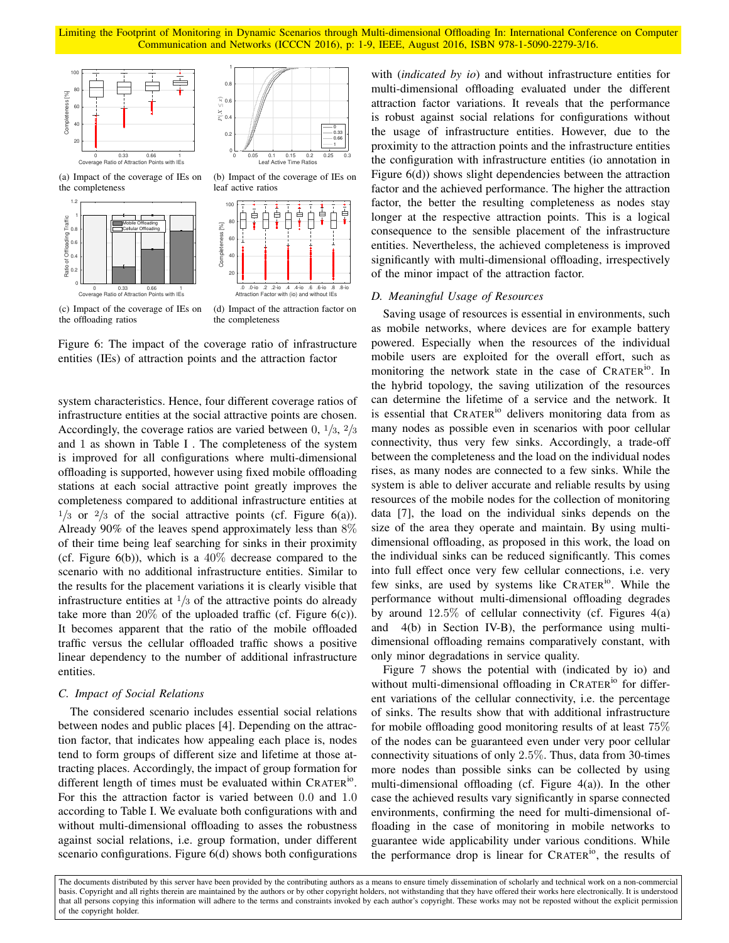

Figure 6: The impact of the coverage ratio of infrastructure entities (IEs) of attraction points and the attraction factor

Coverage Ratio of Attraction Points with less<br>
(a) Impact of the coverage of IEs<br>
the completeness<br>  $\frac{1}{2}$ <br>  $\frac{1}{2}$ <br>  $\frac{1}{2}$ <br>  $\frac{1}{2}$ <br>  $\frac{1}{2}$ <br>  $\frac{1}{2}$ <br>  $\frac{1}{2}$ <br>  $\frac{1}{2}$ <br>  $\frac{1}{2}$ <br>  $\frac{1}{2}$ <br>  $\frac{1}{2}$ <br> system characteristics. Hence, four different coverage ratios of infrastructure entities at the social attractive points are chosen. Accordingly, the coverage ratios are varied between  $0, \frac{1}{3}, \frac{2}{3}$ and 1 as shown in Table I . The completeness of the system is improved for all configurations where multi-dimensional offloading is supported, however using fixed mobile offloading stations at each social attractive point greatly improves the completeness compared to additional infrastructure entities at  $1/3$  or  $2/3$  of the social attractive points (cf. Figure 6(a)). Already 90% of the leaves spend approximately less than 8% of their time being leaf searching for sinks in their proximity (cf. Figure 6(b)), which is a  $40\%$  decrease compared to the scenario with no additional infrastructure entities. Similar to the results for the placement variations it is clearly visible that infrastructure entities at  $\frac{1}{3}$  of the attractive points do already take more than  $20\%$  of the uploaded traffic (cf. Figure 6(c)). It becomes apparent that the ratio of the mobile offloaded traffic versus the cellular offloaded traffic shows a positive linear dependency to the number of additional infrastructure entities.

#### *C. Impact of Social Relations*

The considered scenario includes essential social relations between nodes and public places [4]. Depending on the attraction factor, that indicates how appealing each place is, nodes tend to form groups of different size and lifetime at those attracting places. Accordingly, the impact of group formation for different length of times must be evaluated within CRATER<sup>io</sup>. For this the attraction factor is varied between 0.0 and 1.0 according to Table I. We evaluate both configurations with and without multi-dimensional offloading to asses the robustness against social relations, i.e. group formation, under different scenario configurations. Figure 6(d) shows both configurations

with (*indicated by io*) and without infrastructure entities for multi-dimensional offloading evaluated under the different attraction factor variations. It reveals that the performance is robust against social relations for configurations without the usage of infrastructure entities. However, due to the proximity to the attraction points and the infrastructure entities the configuration with infrastructure entities (io annotation in Figure  $6(d)$ ) shows slight dependencies between the attraction factor and the achieved performance. The higher the attraction factor, the better the resulting completeness as nodes stay longer at the respective attraction points. This is a logical consequence to the sensible placement of the infrastructure entities. Nevertheless, the achieved completeness is improved significantly with multi-dimensional offloading, irrespectively of the minor impact of the attraction factor.

## *D. Meaningful Usage of Resources*

Saving usage of resources is essential in environments, such as mobile networks, where devices are for example battery powered. Especially when the resources of the individual mobile users are exploited for the overall effort, such as monitoring the network state in the case of CRATER<sup>10</sup>. In the hybrid topology, the saving utilization of the resources can determine the lifetime of a service and the network. It is essential that CRATER<sup>io</sup> delivers monitoring data from as many nodes as possible even in scenarios with poor cellular connectivity, thus very few sinks. Accordingly, a trade-off between the completeness and the load on the individual nodes rises, as many nodes are connected to a few sinks. While the system is able to deliver accurate and reliable results by using resources of the mobile nodes for the collection of monitoring data [7], the load on the individual sinks depends on the size of the area they operate and maintain. By using multidimensional offloading, as proposed in this work, the load on the individual sinks can be reduced significantly. This comes into full effect once very few cellular connections, i.e. very few sinks, are used by systems like CRATER<sup>io</sup>. While the performance without multi-dimensional offloading degrades by around  $12.5\%$  of cellular connectivity (cf. Figures  $4(a)$ ) and 4(b) in Section IV-B), the performance using multidimensional offloading remains comparatively constant, with only minor degradations in service quality.

Figure 7 shows the potential with (indicated by io) and without multi-dimensional offloading in CRATER<sup>io</sup> for different variations of the cellular connectivity, i.e. the percentage of sinks. The results show that with additional infrastructure for mobile offloading good monitoring results of at least 75% of the nodes can be guaranteed even under very poor cellular connectivity situations of only 2.5%. Thus, data from 30-times more nodes than possible sinks can be collected by using multi-dimensional offloading (cf. Figure 4(a)). In the other case the achieved results vary significantly in sparse connected environments, confirming the need for multi-dimensional offloading in the case of monitoring in mobile networks to guarantee wide applicability under various conditions. While the performance drop is linear for  $C_{\rm RATER}^{10}$ , the results of

The documents distributed by this server have been provided by the contributing authors as a means to ensure timely dissemination of scholarly and technical work on a non-commercial basis. Copyright and all rights therein are maintained by the authors or by other copyright holders, not withstanding that they have offered their works here electronically. It is understood that all persons copying this information will adhere to the terms and constraints invoked by each author's copyright. These works may not be reposted without the explicit permission of the copyright holder.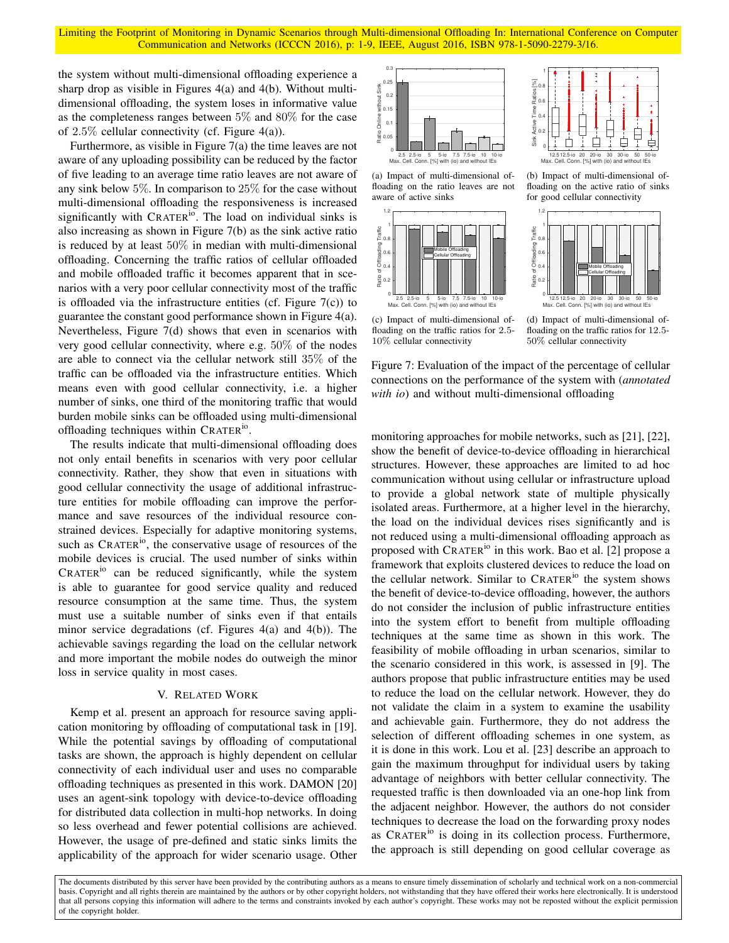the system without multi-dimensional offloading experience a sharp drop as visible in Figures 4(a) and 4(b). Without multidimensional offloading, the system loses in informative value as the completeness ranges between 5% and 80% for the case of  $2.5\%$  cellular connectivity (cf. Figure 4(a)).

Furthermore, as visible in Figure 7(a) the time leaves are not aware of any uploading possibility can be reduced by the factor of five leading to an average time ratio leaves are not aware of any sink below 5%. In comparison to 25% for the case without multi-dimensional offloading the responsiveness is increased significantly with  $C\text{RATER}^{10}$ . The load on individual sinks is also increasing as shown in Figure 7(b) as the sink active ratio is reduced by at least 50% in median with multi-dimensional offloading. Concerning the traffic ratios of cellular offloaded and mobile offloaded traffic it becomes apparent that in scenarios with a very poor cellular connectivity most of the traffic is offloaded via the infrastructure entities (cf. Figure  $7(c)$ ) to guarantee the constant good performance shown in Figure 4(a). Nevertheless, Figure 7(d) shows that even in scenarios with very good cellular connectivity, where e.g. 50% of the nodes are able to connect via the cellular network still 35% of the traffic can be offloaded via the infrastructure entities. Which means even with good cellular connectivity, i.e. a higher number of sinks, one third of the monitoring traffic that would burden mobile sinks can be offloaded using multi-dimensional offloading techniques within CRATER<sup>io</sup>.

The results indicate that multi-dimensional offloading does not only entail benefits in scenarios with very poor cellular connectivity. Rather, they show that even in situations with good cellular connectivity the usage of additional infrastructure entities for mobile offloading can improve the performance and save resources of the individual resource constrained devices. Especially for adaptive monitoring systems, such as CRATER<sup>io</sup>, the conservative usage of resources of the mobile devices is crucial. The used number of sinks within  $C\text{RATER}^{io}$  can be reduced significantly, while the system is able to guarantee for good service quality and reduced resource consumption at the same time. Thus, the system must use a suitable number of sinks even if that entails minor service degradations (cf. Figures 4(a) and 4(b)). The achievable savings regarding the load on the cellular network and more important the mobile nodes do outweigh the minor loss in service quality in most cases.

## V. RELATED WORK

Kemp et al. present an approach for resource saving application monitoring by offloading of computational task in [19]. While the potential savings by offloading of computational tasks are shown, the approach is highly dependent on cellular connectivity of each individual user and uses no comparable offloading techniques as presented in this work. DAMON [20] uses an agent-sink topology with device-to-device offloading for distributed data collection in multi-hop networks. In doing so less overhead and fewer potential collisions are achieved. However, the usage of pre-defined and static sinks limits the applicability of the approach for wider scenario usage. Other





(a) Impact of multi-dimensional offloading on the ratio leaves are not aware of active sinks



(b) Impact of multi-dimensional offloading on the active ratio of sinks for good cellular connectivity



(c) Impact of multi-dimensional offloading on the traffic ratios for 2.5- 10% cellular connectivity

(d) Impact of multi-dimensional offloading on the traffic ratios for 12.5- 50% cellular connectivity

Figure 7: Evaluation of the impact of the percentage of cellular connections on the performance of the system with (*annotated with io*) and without multi-dimensional offloading

monitoring approaches for mobile networks, such as [21], [22], show the benefit of device-to-device offloading in hierarchical structures. However, these approaches are limited to ad hoc communication without using cellular or infrastructure upload to provide a global network state of multiple physically isolated areas. Furthermore, at a higher level in the hierarchy, the load on the individual devices rises significantly and is not reduced using a multi-dimensional offloading approach as proposed with CRATER<sup>io</sup> in this work. Bao et al. [2] propose a framework that exploits clustered devices to reduce the load on the cellular network. Similar to CRATER<sup>io</sup> the system shows the benefit of device-to-device offloading, however, the authors do not consider the inclusion of public infrastructure entities into the system effort to benefit from multiple offloading techniques at the same time as shown in this work. The feasibility of mobile offloading in urban scenarios, similar to the scenario considered in this work, is assessed in [9]. The authors propose that public infrastructure entities may be used to reduce the load on the cellular network. However, they do not validate the claim in a system to examine the usability and achievable gain. Furthermore, they do not address the selection of different offloading schemes in one system, as it is done in this work. Lou et al. [23] describe an approach to gain the maximum throughput for individual users by taking advantage of neighbors with better cellular connectivity. The requested traffic is then downloaded via an one-hop link from the adjacent neighbor. However, the authors do not consider techniques to decrease the load on the forwarding proxy nodes as CRATER<sup>10</sup> is doing in its collection process. Furthermore, the approach is still depending on good cellular coverage as

The documents distributed by this server have been provided by the contributing authors as a means to ensure timely dissemination of scholarly and technical work on a non-commercial basis. Copyright and all rights therein are maintained by the authors or by other copyright holders, not withstanding that they have offered their works here electronically. It is understood that all persons copying this information will adhere to the terms and constraints invoked by each author's copyright. These works may not be reposted without the explicit permission of the copyright holder.